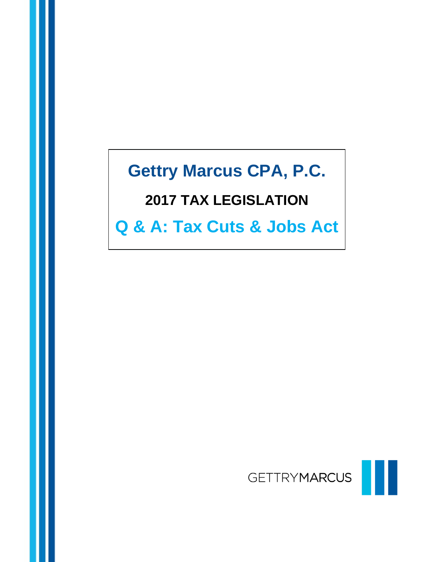# **Gettry Marcus CPA, P.C.**

# **2017 TAX LEGISLATION**

**Q & A: Tax Cuts & Jobs Act**

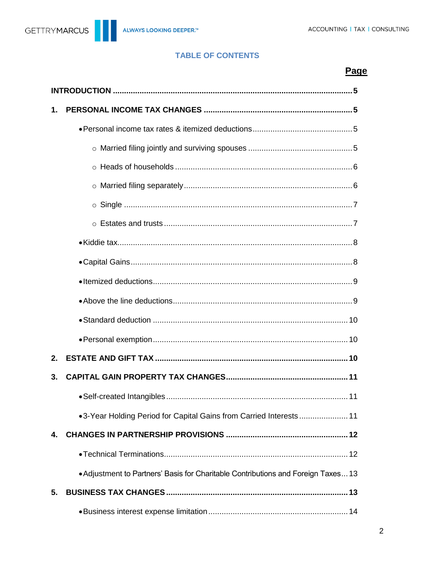### **TABLE OF CONTENTS**

# Page

| 1.             |                                                                                   |
|----------------|-----------------------------------------------------------------------------------|
|                |                                                                                   |
|                |                                                                                   |
|                |                                                                                   |
|                |                                                                                   |
|                |                                                                                   |
|                |                                                                                   |
|                |                                                                                   |
|                |                                                                                   |
|                |                                                                                   |
|                |                                                                                   |
|                |                                                                                   |
|                |                                                                                   |
| 2 <sub>1</sub> |                                                                                   |
| 3.             |                                                                                   |
|                |                                                                                   |
|                | •3-Year Holding Period for Capital Gains from Carried Interests 11                |
| 4.             |                                                                                   |
|                |                                                                                   |
|                | • Adjustment to Partners' Basis for Charitable Contributions and Foreign Taxes 13 |
| 5.             |                                                                                   |
|                |                                                                                   |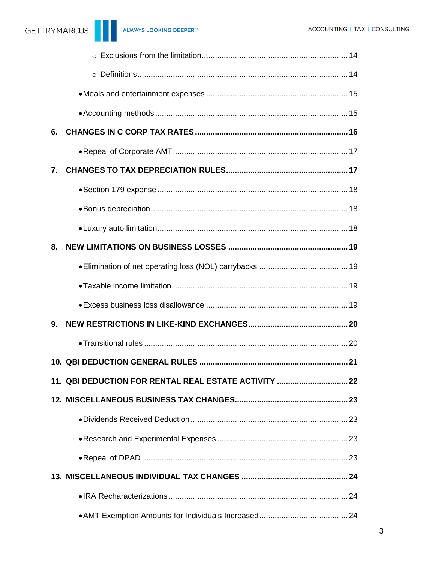| 6.                                                    |  |
|-------------------------------------------------------|--|
|                                                       |  |
| 7.                                                    |  |
|                                                       |  |
|                                                       |  |
|                                                       |  |
| 8.                                                    |  |
|                                                       |  |
|                                                       |  |
|                                                       |  |
| 9.                                                    |  |
|                                                       |  |
|                                                       |  |
| 11. QBI DEDUCTION FOR RENTAL REAL ESTATE ACTIVITY  22 |  |
|                                                       |  |
|                                                       |  |
|                                                       |  |
|                                                       |  |
|                                                       |  |
|                                                       |  |
|                                                       |  |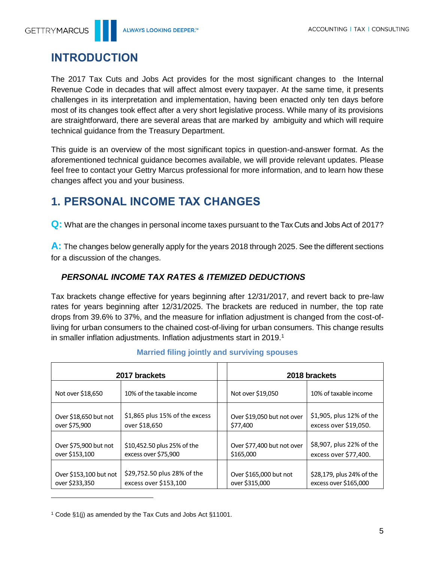

# <span id="page-4-0"></span>**INTRODUCTION**

The 2017 Tax Cuts and Jobs Act provides for the most significant changes to the Internal Revenue Code in decades that will affect almost every taxpayer. At the same time, it presents challenges in its interpretation and implementation, having been enacted only ten days before most of its changes took effect after a very short legislative process. While many of its provisions are straightforward, there are several areas that are marked by ambiguity and which will require technical guidance from the Treasury Department.

This guide is an overview of the most significant topics in question-and-answer format. As the aforementioned technical guidance becomes available, we will provide relevant updates. Please feel free to contact your Gettry Marcus professional for more information, and to learn how these changes affect you and your business.

# <span id="page-4-1"></span>**1. PERSONAL INCOME TAX CHANGES**

**Q:** What are the changes in personal income taxes pursuant to the Tax Cuts and Jobs Act of 2017?

**A:** The changes below generally apply for the years 2018 through 2025. See the different sections for a discussion of the changes.

# <span id="page-4-2"></span>*PERSONAL INCOME TAX RATES & ITEMIZED DEDUCTIONS*

Tax brackets change effective for years beginning after 12/31/2017, and revert back to pre-law rates for years beginning after 12/31/2025. The brackets are reduced in number, the top rate drops from 39.6% to 37%, and the measure for inflation adjustment is changed from the cost-ofliving for urban consumers to the chained cost-of-living for urban consumers. This change results in smaller inflation adjustments. Inflation adjustments start in 2019.<sup>1</sup>

<span id="page-4-3"></span>

| 2017 brackets          |                                |                            | 2018 brackets             |
|------------------------|--------------------------------|----------------------------|---------------------------|
| Not over \$18,650      | 10% of the taxable income      | Not over \$19,050          | 10% of taxable income     |
| Over \$18,650 but not  | \$1,865 plus 15% of the excess | Over \$19,050 but not over | \$1,905, plus 12% of the  |
| over \$75,900          | over \$18,650                  | \$77,400                   | excess over \$19,050.     |
| Over \$75,900 but not  | \$10,452.50 plus 25% of the    | Over \$77,400 but not over | \$8,907, plus 22% of the  |
| over \$153,100         | excess over \$75,900           | \$165,000                  | excess over \$77,400.     |
| Over \$153,100 but not | \$29,752.50 plus 28% of the    | Over \$165,000 but not     | \$28,179, plus 24% of the |
| over \$233,350         | excess over \$153,100          | over \$315,000             | excess over \$165,000     |

#### **Married filing jointly and surviving spouses**

<sup>1</sup> Code §1(j) as amended by the Tax Cuts and Jobs Act §11001.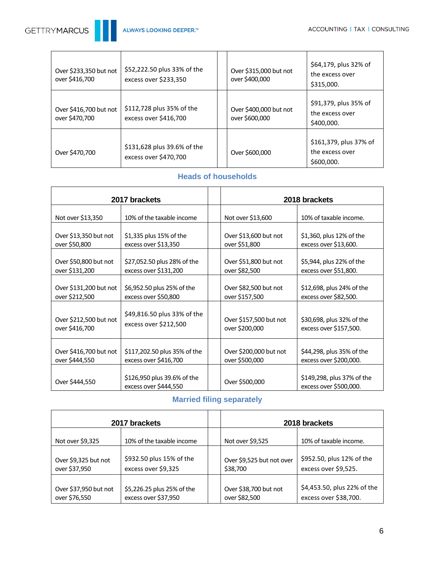

| Over \$233,350 but not<br>over \$416,700 | \$52,222.50 plus 33% of the<br>excess over \$233,350 | Over \$315,000 but not<br>over \$400,000 | \$64,179, plus 32% of<br>the excess over<br>\$315,000.  |
|------------------------------------------|------------------------------------------------------|------------------------------------------|---------------------------------------------------------|
| Over \$416,700 but not<br>over \$470,700 | \$112,728 plus 35% of the<br>excess over \$416,700   | Over \$400,000 but not<br>over \$600,000 | \$91,379, plus 35% of<br>the excess over<br>\$400,000.  |
| Over \$470,700                           | \$131,628 plus 39.6% of the<br>excess over \$470,700 | Over \$600,000                           | \$161,379, plus 37% of<br>the excess over<br>\$600,000. |

# **Heads of households**

<span id="page-5-0"></span>

| 2017 brackets          |                                                      |                        | 2018 brackets                                        |
|------------------------|------------------------------------------------------|------------------------|------------------------------------------------------|
| Not over \$13,350      | 10% of the taxable income                            | Not over \$13,600      | 10% of taxable income.                               |
| Over \$13,350 but not  | \$1,335 plus 15% of the                              | Over \$13,600 but not  | \$1,360, plus 12% of the                             |
| over \$50,800          | excess over \$13,350                                 | over \$51,800          | excess over \$13,600.                                |
| Over \$50,800 but not  | \$27,052.50 plus 28% of the                          | Over \$51,800 but not  | \$5,944, plus 22% of the                             |
| over \$131,200         | excess over \$131,200                                | over \$82,500          | excess over \$51,800.                                |
| Over \$131,200 but not | \$6,952.50 plus 25% of the                           | Over \$82,500 but not  | \$12,698, plus 24% of the                            |
| over \$212,500         | excess over \$50,800                                 | over \$157,500         | excess over \$82,500.                                |
| Over \$212,500 but not | \$49,816.50 plus 33% of the                          | Over \$157,500 but not | \$30,698, plus 32% of the                            |
| over \$416,700         | excess over \$212,500                                | over \$200,000         | excess over \$157,500.                               |
| Over \$416,700 but not | \$117,202.50 plus 35% of the                         | Over \$200,000 but not | \$44,298, plus 35% of the                            |
| over \$444,550         | excess over \$416,700                                | over \$500,000         | excess over \$200,000.                               |
| Over \$444,550         | \$126,950 plus 39.6% of the<br>excess over \$444,550 | Over \$500,000         | \$149,298, plus 37% of the<br>excess over \$500,000. |

# **Married filing separately**

<span id="page-5-1"></span>

| 2017 brackets         |                            |  |                           | 2018 brackets               |
|-----------------------|----------------------------|--|---------------------------|-----------------------------|
| Not over \$9,325      | 10% of the taxable income  |  | Not over \$9,525          | 10% of taxable income.      |
| Over \$9,325 but not  | \$932.50 plus 15% of the   |  | Over \$9,525 but not over | \$952.50, plus 12% of the   |
| over \$37,950         | excess over \$9,325        |  | \$38,700                  | excess over \$9,525.        |
| Over \$37,950 but not | \$5,226.25 plus 25% of the |  | Over \$38,700 but not     | \$4,453.50, plus 22% of the |
| over \$76,550         | excess over \$37,950       |  | over \$82,500             | excess over \$38,700.       |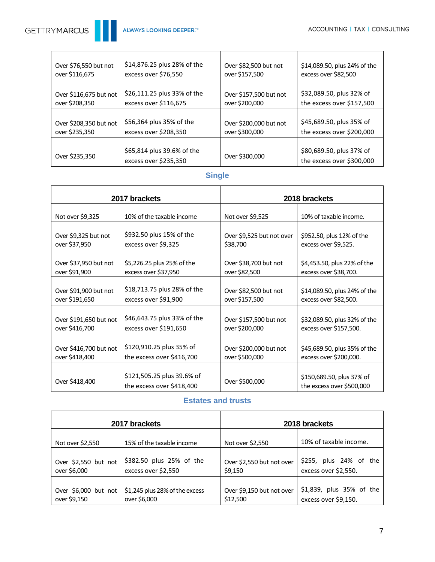| Over \$76,550 but not  | \$14,876.25 plus 28% of the                         | Over \$82,500 but not  | \$14,089.50, plus 24% of the                          |
|------------------------|-----------------------------------------------------|------------------------|-------------------------------------------------------|
| over \$116,675         | excess over \$76,550                                | over \$157,500         | excess over \$82,500                                  |
| Over \$116,675 but not | \$26,111.25 plus 33% of the                         | Over \$157,500 but not | \$32,089.50, plus 32% of                              |
| over \$208,350         | excess over \$116,675                               | over \$200,000         | the excess over \$157,500                             |
| Over \$208,350 but not | \$56,364 plus 35% of the                            | Over \$200,000 but not | \$45,689.50, plus 35% of                              |
| over \$235,350         | excess over \$208,350                               | over \$300,000         | the excess over \$200,000                             |
| Over \$235,350         | \$65,814 plus 39.6% of the<br>excess over \$235,350 | Over \$300,000         | \$80,689.50, plus 37% of<br>the excess over \$300,000 |

# **Single**

<span id="page-6-0"></span>

| 2017 brackets          |                                                         |                           | 2018 brackets                                          |
|------------------------|---------------------------------------------------------|---------------------------|--------------------------------------------------------|
| Not over \$9,325       | 10% of the taxable income                               | Not over \$9,525          | 10% of taxable income.                                 |
| Over \$9,325 but not   | \$932.50 plus 15% of the                                | Over \$9,525 but not over | \$952.50, plus 12% of the                              |
| over \$37,950          | excess over \$9,325                                     | \$38,700                  | excess over \$9,525.                                   |
| Over \$37,950 but not  | \$5,226.25 plus 25% of the                              | Over \$38,700 but not     | \$4,453.50, plus 22% of the                            |
| over \$91,900          | excess over \$37,950                                    | over \$82,500             | excess over \$38,700.                                  |
| Over \$91,900 but not  | \$18,713.75 plus 28% of the                             | Over \$82,500 but not     | \$14,089.50, plus 24% of the                           |
| over \$191,650         | excess over \$91,900                                    | over \$157,500            | excess over \$82,500.                                  |
| Over \$191,650 but not | \$46,643.75 plus 33% of the                             | Over \$157,500 but not    | \$32,089.50, plus 32% of the                           |
| over \$416,700         | excess over \$191,650                                   | over \$200,000            | excess over \$157,500.                                 |
| Over \$416,700 but not | \$120,910.25 plus 35% of                                | Over \$200,000 but not    | \$45,689.50, plus 35% of the                           |
| over \$418,400         | the excess over \$416,700                               | over \$500,000            | excess over \$200,000.                                 |
| Over \$418,400         | \$121,505.25 plus 39.6% of<br>the excess over \$418,400 | Over \$500,000            | \$150,689.50, plus 37% of<br>the excess over \$500,000 |

#### **Estates and trusts**

<span id="page-6-1"></span>

| 2017 brackets         |                                |  |                           | 2018 brackets            |
|-----------------------|--------------------------------|--|---------------------------|--------------------------|
| Not over \$2,550      | 15% of the taxable income      |  | Not over \$2,550          | 10% of taxable income.   |
| Over \$2,550 but not  | \$382.50 plus 25% of the       |  | Over \$2,550 but not over | \$255, plus 24% of the   |
| over \$6,000          | excess over \$2,550            |  | \$9,150                   | excess over \$2,550.     |
| Over $$6,000$ but not | \$1,245 plus 28% of the excess |  | Over \$9,150 but not over | \$1,839, plus 35% of the |
| over \$9,150          | over \$6,000                   |  | \$12,500                  | excess over \$9,150.     |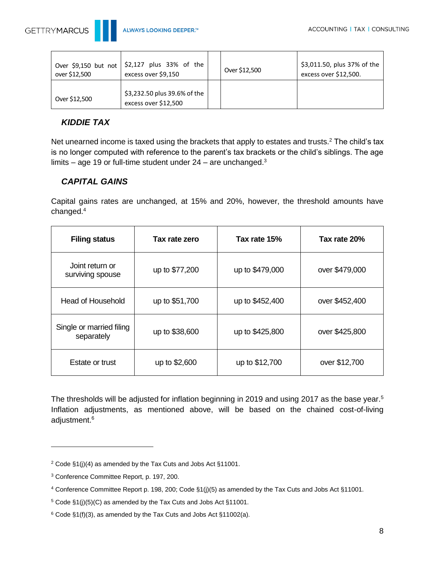

| over \$12,500 | Over \$9,150 but not $ $ \$2,127 plus 33% of the I<br>excess over \$9,150 | Over \$12,500 | \$3,011.50, plus 37% of the<br>excess over \$12,500. |
|---------------|---------------------------------------------------------------------------|---------------|------------------------------------------------------|
| Over \$12,500 | \$3,232.50 plus 39.6% of the<br>excess over \$12,500                      |               |                                                      |

# <span id="page-7-0"></span>*KIDDIE TAX*

Net unearned income is taxed using the brackets that apply to estates and trusts.<sup>2</sup> The child's tax is no longer computed with reference to the parent's tax brackets or the child's siblings. The age limits – age 19 or full-time student under  $24$  – are unchanged.<sup>3</sup>

# <span id="page-7-1"></span>*CAPITAL GAINS*

Capital gains rates are unchanged, at 15% and 20%, however, the threshold amounts have changed.<sup>4</sup>

| <b>Filing status</b>                   | Tax rate zero  | Tax rate 15%    | Tax rate 20%   |
|----------------------------------------|----------------|-----------------|----------------|
| Joint return or<br>surviving spouse    | up to \$77,200 | up to \$479,000 | over \$479,000 |
| <b>Head of Household</b>               | up to \$51,700 | up to \$452,400 | over \$452,400 |
| Single or married filing<br>separately | up to \$38,600 | up to \$425,800 | over \$425,800 |
| Estate or trust                        | up to \$2,600  | up to \$12,700  | over \$12,700  |

The thresholds will be adjusted for inflation beginning in 2019 and using 2017 as the base year.<sup>5</sup> Inflation adjustments, as mentioned above, will be based on the chained cost-of-living adjustment.<sup>6</sup>

<sup>2</sup> Code §1(j)(4) as amended by the Tax Cuts and Jobs Act §11001.

<sup>3</sup> Conference Committee Report, p. 197, 200.

<sup>4</sup> Conference Committee Report p. 198, 200; Code §1(j)(5) as amended by the Tax Cuts and Jobs Act §11001.

<sup>5</sup> Code §1(j)(5)(C) as amended by the Tax Cuts and Jobs Act §11001.

 $6$  Code §1(f)(3), as amended by the Tax Cuts and Jobs Act §11002(a).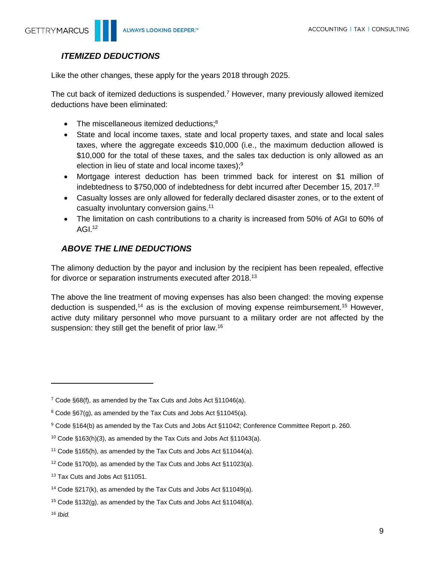# <span id="page-8-0"></span>*ITEMIZED DEDUCTIONS*

Like the other changes, these apply for the years 2018 through 2025.

The cut back of itemized deductions is suspended.<sup>7</sup> However, many previously allowed itemized deductions have been eliminated:

- The miscellaneous itemized deductions; $8$
- State and local income taxes, state and local property taxes, and state and local sales taxes, where the aggregate exceeds \$10,000 (i.e., the maximum deduction allowed is \$10,000 for the total of these taxes, and the sales tax deduction is only allowed as an election in lieu of state and local income taxes); $9$
- Mortgage interest deduction has been trimmed back for interest on \$1 million of indebtedness to \$750,000 of indebtedness for debt incurred after December 15, 2017.<sup>10</sup>
- Casualty losses are only allowed for federally declared disaster zones, or to the extent of casualty involuntary conversion gains.<sup>11</sup>
- The limitation on cash contributions to a charity is increased from 50% of AGI to 60% of AGI. $12$

# <span id="page-8-1"></span>*ABOVE THE LINE DEDUCTIONS*

The alimony deduction by the payor and inclusion by the recipient has been repealed, effective for divorce or separation instruments executed after 2018.<sup>13</sup>

The above the line treatment of moving expenses has also been changed: the moving expense deduction is suspended,<sup>14</sup> as is the exclusion of moving expense reimbursement.<sup>15</sup> However, active duty military personnel who move pursuant to a military order are not affected by the suspension: they still get the benefit of prior law.<sup>16</sup>

<sup>7</sup> Code §68(f), as amended by the Tax Cuts and Jobs Act §11046(a).

<sup>8</sup> Code §67(g), as amended by the Tax Cuts and Jobs Act §11045(a).

<sup>9</sup> Code §164(b) as amended by the Tax Cuts and Jobs Act §11042; Conference Committee Report p. 260.

<sup>10</sup> Code §163(h)(3), as amended by the Tax Cuts and Jobs Act §11043(a).

<sup>11</sup> Code §165(h), as amended by the Tax Cuts and Jobs Act §11044(a).

<sup>12</sup> Code §170(b), as amended by the Tax Cuts and Jobs Act §11023(a).

<sup>13</sup> Tax Cuts and Jobs Act §11051.

<sup>14</sup> Code §217(k), as amended by the Tax Cuts and Jobs Act §11049(a).

<sup>&</sup>lt;sup>15</sup> Code §132(g), as amended by the Tax Cuts and Jobs Act §11048(a).

<sup>16</sup> *Ibid.*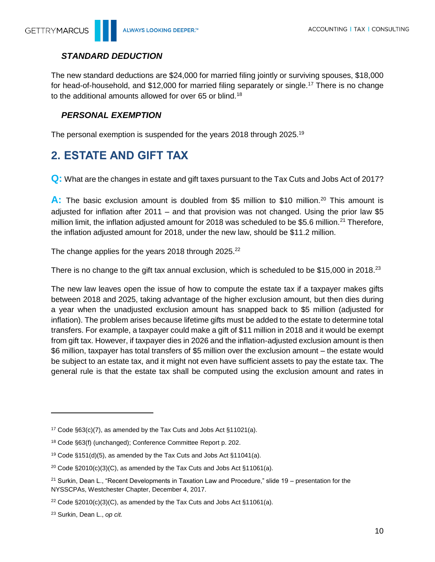# <span id="page-9-0"></span>*STANDARD DEDUCTION*

The new standard deductions are \$24,000 for married filing jointly or surviving spouses, \$18,000 for head-of-household, and \$12,000 for married filing separately or single.<sup>17</sup> There is no change to the additional amounts allowed for over 65 or blind.<sup>18</sup>

### <span id="page-9-1"></span>*PERSONAL EXEMPTION*

The personal exemption is suspended for the years 2018 through 2025.<sup>19</sup>

# <span id="page-9-2"></span>**2. ESTATE AND GIFT TAX**

**Q:** What are the changes in estate and gift taxes pursuant to the Tax Cuts and Jobs Act of 2017?

A: The basic exclusion amount is doubled from \$5 million to \$10 million.<sup>20</sup> This amount is adjusted for inflation after 2011 – and that provision was not changed. Using the prior law \$5 million limit, the inflation adjusted amount for 2018 was scheduled to be \$5.6 million.<sup>21</sup> Therefore, the inflation adjusted amount for 2018, under the new law, should be \$11.2 million.

The change applies for the years 2018 through 2025.<sup>22</sup>

There is no change to the gift tax annual exclusion, which is scheduled to be \$15,000 in 2018.<sup>23</sup>

The new law leaves open the issue of how to compute the estate tax if a taxpayer makes gifts between 2018 and 2025, taking advantage of the higher exclusion amount, but then dies during a year when the unadjusted exclusion amount has snapped back to \$5 million (adjusted for inflation). The problem arises because lifetime gifts must be added to the estate to determine total transfers. For example, a taxpayer could make a gift of \$11 million in 2018 and it would be exempt from gift tax. However, if taxpayer dies in 2026 and the inflation-adjusted exclusion amount is then \$6 million, taxpayer has total transfers of \$5 million over the exclusion amount – the estate would be subject to an estate tax, and it might not even have sufficient assets to pay the estate tax. The general rule is that the estate tax shall be computed using the exclusion amount and rates in

 $\overline{a}$ 

<sup>&</sup>lt;sup>17</sup> Code §63(c)(7), as amended by the Tax Cuts and Jobs Act §11021(a).

<sup>18</sup> Code §63(f) (unchanged); Conference Committee Report p. 202.

<sup>&</sup>lt;sup>19</sup> Code §151(d)(5), as amended by the Tax Cuts and Jobs Act §11041(a).

<sup>&</sup>lt;sup>20</sup> Code §2010(c)(3)(C), as amended by the Tax Cuts and Jobs Act §11061(a).

<sup>&</sup>lt;sup>21</sup> Surkin, Dean L., "Recent Developments in Taxation Law and Procedure," slide 19 – presentation for the NYSSCPAs, Westchester Chapter, December 4, 2017.

<sup>&</sup>lt;sup>22</sup> Code §2010(c)(3)(C), as amended by the Tax Cuts and Jobs Act §11061(a).

<sup>23</sup> Surkin, Dean L., *op cit.*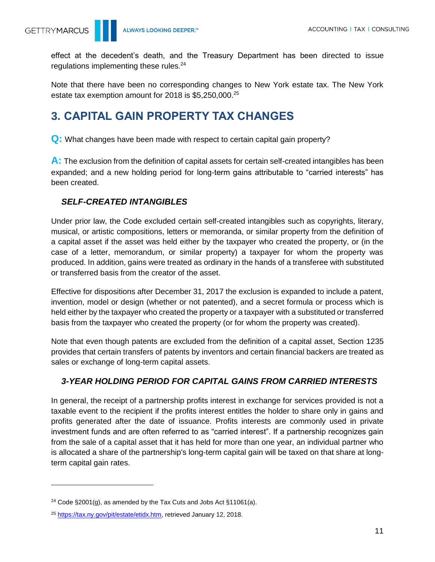effect at the decedent's death, and the Treasury Department has been directed to issue regulations implementing these rules.<sup>24</sup>

Note that there have been no corresponding changes to New York estate tax. The New York estate tax exemption amount for 2018 is \$5,250,000.<sup>25</sup>

# <span id="page-10-0"></span>**3. CAPITAL GAIN PROPERTY TAX CHANGES**

**Q:** What changes have been made with respect to certain capital gain property?

**A:** The exclusion from the definition of capital assets for certain self-created intangibles has been expanded; and a new holding period for long-term gains attributable to "carried interests" has been created.

### <span id="page-10-1"></span>*SELF-CREATED INTANGIBLES*

Under prior law, the Code excluded certain self-created intangibles such as copyrights, literary, musical, or artistic compositions, letters or memoranda, or similar property from the definition of a capital asset if the asset was held either by the taxpayer who created the property, or (in the case of a letter, memorandum, or similar property) a taxpayer for whom the property was produced. In addition, gains were treated as ordinary in the hands of a transferee with substituted or transferred basis from the creator of the asset.

Effective for dispositions after December 31, 2017 the exclusion is expanded to include a patent, invention, model or design (whether or not patented), and a secret formula or process which is held either by the taxpayer who created the property or a taxpayer with a substituted or transferred basis from the taxpayer who created the property (or for whom the property was created).

Note that even though patents are excluded from the definition of a capital asset, Section 1235 provides that certain transfers of patents by inventors and certain financial backers are treated as sales or exchange of long-term capital assets.

### <span id="page-10-2"></span>*3-YEAR HOLDING PERIOD FOR CAPITAL GAINS FROM CARRIED INTERESTS*

In general, the receipt of a partnership profits interest in exchange for services provided is not a taxable event to the recipient if the profits interest entitles the holder to share only in gains and profits generated after the date of issuance. Profits interests are commonly used in private investment funds and are often referred to as "carried interest". If a partnership recognizes gain from the sale of a capital asset that it has held for more than one year, an individual partner who is allocated a share of the partnership's long-term capital gain will be taxed on that share at longterm capital gain rates.

<sup>&</sup>lt;sup>24</sup> Code §2001(g), as amended by the Tax Cuts and Jobs Act §11061(a).

<sup>&</sup>lt;sup>25</sup> [https://tax.ny.gov/pit/estate/etidx.htm,](https://tax.ny.gov/pit/estate/etidx.htm) retrieved January 12, 2018.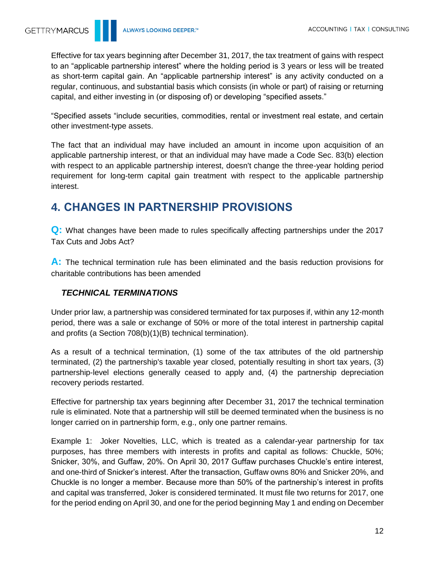Effective for tax years beginning after December 31, 2017, the tax treatment of gains with respect to an "applicable partnership interest" where the holding period is 3 years or less will be treated as short-term capital gain. An "applicable partnership interest" is any activity conducted on a regular, continuous, and substantial basis which consists (in whole or part) of raising or returning capital, and either investing in (or disposing of) or developing "specified assets."

"Specified assets "include securities, commodities, rental or investment real estate, and certain other investment-type assets.

The fact that an individual may have included an amount in income upon acquisition of an applicable partnership interest, or that an individual may have made a Code Sec. 83(b) election with respect to an applicable partnership interest, doesn't change the three-year holding period requirement for long-term capital gain treatment with respect to the applicable partnership interest.

# <span id="page-11-0"></span>**4. CHANGES IN PARTNERSHIP PROVISIONS**

**Q:** What changes have been made to rules specifically affecting partnerships under the 2017 Tax Cuts and Jobs Act?

**A:** The technical termination rule has been eliminated and the basis reduction provisions for charitable contributions has been amended

### <span id="page-11-1"></span>*TECHNICAL TERMINATIONS*

Under prior law, a partnership was considered terminated for tax purposes if, within any 12-month period, there was a sale or exchange of 50% or more of the total interest in partnership capital and profits (a Section 708(b)(1)(B) technical termination).

As a result of a technical termination, (1) some of the tax attributes of the old partnership terminated, (2) the partnership's taxable year closed, potentially resulting in short tax years, (3) partnership-level elections generally ceased to apply and, (4) the partnership depreciation recovery periods restarted.

Effective for partnership tax years beginning after December 31, 2017 the technical termination rule is eliminated. Note that a partnership will still be deemed terminated when the business is no longer carried on in partnership form, e.g., only one partner remains.

Example 1: Joker Novelties, LLC, which is treated as a calendar-year partnership for tax purposes, has three members with interests in profits and capital as follows: Chuckle, 50%; Snicker, 30%, and Guffaw, 20%. On April 30, 2017 Guffaw purchases Chuckle's entire interest, and one-third of Snicker's interest. After the transaction, Guffaw owns 80% and Snicker 20%, and Chuckle is no longer a member. Because more than 50% of the partnership's interest in profits and capital was transferred, Joker is considered terminated. It must file two returns for 2017, one for the period ending on April 30, and one for the period beginning May 1 and ending on December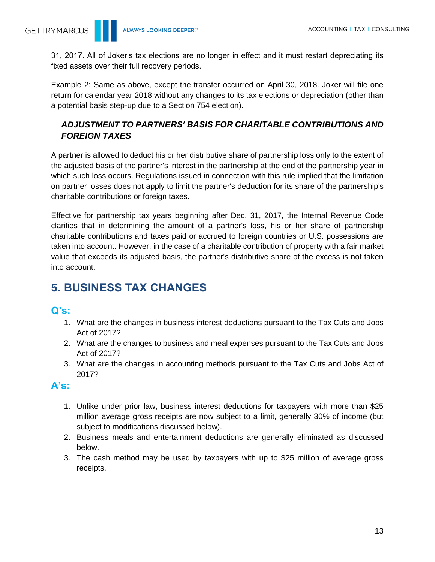31, 2017. All of Joker's tax elections are no longer in effect and it must restart depreciating its fixed assets over their full recovery periods.

Example 2: Same as above, except the transfer occurred on April 30, 2018. Joker will file one return for calendar year 2018 without any changes to its tax elections or depreciation (other than a potential basis step-up due to a Section 754 election).

# <span id="page-12-0"></span>*ADJUSTMENT TO PARTNERS' BASIS FOR CHARITABLE CONTRIBUTIONS AND FOREIGN TAXES*

A partner is allowed to deduct his or her distributive share of partnership loss only to the extent of the adjusted basis of the partner's interest in the partnership at the end of the partnership year in which such loss occurs. Regulations issued in connection with this rule implied that the limitation on partner losses does not apply to limit the partner's deduction for its share of the partnership's charitable contributions or foreign taxes.

Effective for partnership tax years beginning after Dec. 31, 2017, the Internal Revenue Code clarifies that in determining the amount of a partner's loss, his or her share of partnership charitable contributions and taxes paid or accrued to foreign countries or U.S. possessions are taken into account. However, in the case of a charitable contribution of property with a fair market value that exceeds its adjusted basis, the partner's distributive share of the excess is not taken into account.

# <span id="page-12-1"></span>**5. BUSINESS TAX CHANGES**

# **Q's:**

- 1. What are the changes in business interest deductions pursuant to the Tax Cuts and Jobs Act of 2017?
- 2. What are the changes to business and meal expenses pursuant to the Tax Cuts and Jobs Act of 2017?
- 3. What are the changes in accounting methods pursuant to the Tax Cuts and Jobs Act of 2017?

# **A's:**

- 1. Unlike under prior law, business interest deductions for taxpayers with more than \$25 million average gross receipts are now subject to a limit, generally 30% of income (but subject to modifications discussed below).
- 2. Business meals and entertainment deductions are generally eliminated as discussed below.
- 3. The cash method may be used by taxpayers with up to \$25 million of average gross receipts.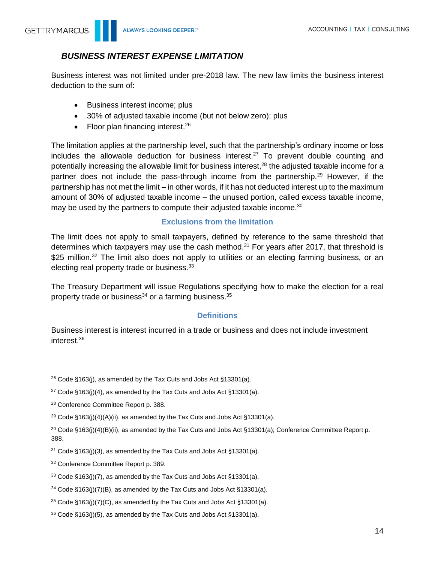

# <span id="page-13-0"></span>*BUSINESS INTEREST EXPENSE LIMITATION*

Business interest was not limited under pre-2018 law. The new law limits the business interest deduction to the sum of:

- Business interest income; plus
- 30% of adjusted taxable income (but not below zero); plus
- Floor plan financing interest.<sup>26</sup>

The limitation applies at the partnership level, such that the partnership's ordinary income or loss includes the allowable deduction for business interest.<sup>27</sup> To prevent double counting and potentially increasing the allowable limit for business interest,<sup>28</sup> the adjusted taxable income for a partner does not include the pass-through income from the partnership.<sup>29</sup> However, if the partnership has not met the limit – in other words, if it has not deducted interest up to the maximum amount of 30% of adjusted taxable income – the unused portion, called excess taxable income, may be used by the partners to compute their adjusted taxable income.<sup>30</sup>

#### **Exclusions from the limitation**

<span id="page-13-1"></span>The limit does not apply to small taxpayers, defined by reference to the same threshold that determines which taxpayers may use the cash method. $31$  For years after 2017, that threshold is \$25 million.<sup>32</sup> The limit also does not apply to utilities or an electing farming business, or an electing real property trade or business.<sup>33</sup>

The Treasury Department will issue Regulations specifying how to make the election for a real property trade or business<sup>34</sup> or a farming business.<sup>35</sup>

### **Definitions**

<span id="page-13-2"></span>Business interest is interest incurred in a trade or business and does not include investment interest.<sup>36</sup>

 $\overline{a}$ 

<sup>&</sup>lt;sup>26</sup> Code §163(j), as amended by the Tax Cuts and Jobs Act §13301(a).

<sup>&</sup>lt;sup>27</sup> Code §163(j)(4), as amended by the Tax Cuts and Jobs Act §13301(a).

<sup>28</sup> Conference Committee Report p. 388.

<sup>&</sup>lt;sup>29</sup> Code  $§163(j)(4)(A)(ii)$ , as amended by the Tax Cuts and Jobs Act  $§13301(a)$ .

<sup>30</sup> Code §163(j)(4)(B)(ii), as amended by the Tax Cuts and Jobs Act §13301(a); Conference Committee Report p. 388.

 $31$  Code §163(j)(3), as amended by the Tax Cuts and Jobs Act §13301(a).

<sup>32</sup> Conference Committee Report p. 389.

<sup>33</sup> Code §163(j)(7), as amended by the Tax Cuts and Jobs Act §13301(a).

 $34$  Code §163(j)(7)(B), as amended by the Tax Cuts and Jobs Act §13301(a).

 $35$  Code §163(j)(7)(C), as amended by the Tax Cuts and Jobs Act §13301(a).

<sup>36</sup> Code §163(j)(5), as amended by the Tax Cuts and Jobs Act §13301(a).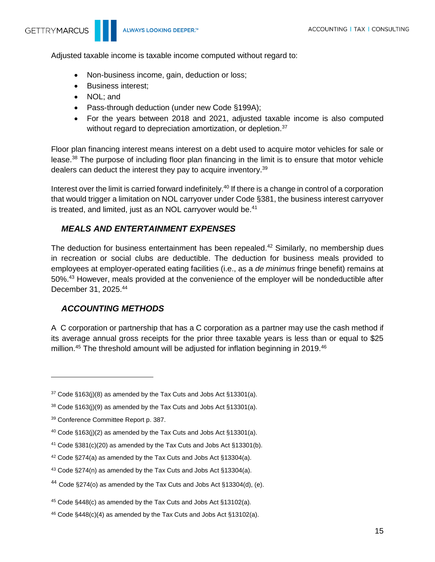Adjusted taxable income is taxable income computed without regard to:

- Non-business income, gain, deduction or loss;
- Business interest;
- NOL; and
- Pass-through deduction (under new Code §199A);
- For the years between 2018 and 2021, adjusted taxable income is also computed without regard to depreciation amortization, or depletion.<sup>37</sup>

Floor plan financing interest means interest on a debt used to acquire motor vehicles for sale or lease.<sup>38</sup> The purpose of including floor plan financing in the limit is to ensure that motor vehicle dealers can deduct the interest they pay to acquire inventory.<sup>39</sup>

Interest over the limit is carried forward indefinitely.<sup>40</sup> If there is a change in control of a corporation that would trigger a limitation on NOL carryover under Code §381, the business interest carryover is treated, and limited, just as an NOL carryover would be.<sup>41</sup>

### <span id="page-14-0"></span>*MEALS AND ENTERTAINMENT EXPENSES*

The deduction for business entertainment has been repealed.<sup>42</sup> Similarly, no membership dues in recreation or social clubs are deductible. The deduction for business meals provided to employees at employer-operated eating facilities (i.e., as a *de minimus* fringe benefit) remains at 50%.<sup>43</sup> However, meals provided at the convenience of the employer will be nondeductible after December 31, 2025. 44

### <span id="page-14-1"></span>*ACCOUNTING METHODS*

A C corporation or partnership that has a C corporation as a partner may use the cash method if its average annual gross receipts for the prior three taxable years is less than or equal to \$25 million.<sup>45</sup> The threshold amount will be adjusted for inflation beginning in 2019.<sup>46</sup>

<sup>41</sup> Code §381(c)(20) as amended by the Tax Cuts and Jobs Act §13301(b).

 $37$  Code §163(j)(8) as amended by the Tax Cuts and Jobs Act §13301(a).

 $38 \text{ Code } \S 163(j)(9)$  as amended by the Tax Cuts and Jobs Act  $\S 13301(a)$ .

<sup>39</sup> Conference Committee Report p. 387.

 $40$  Code §163(j)(2) as amended by the Tax Cuts and Jobs Act §13301(a).

<sup>42</sup> Code §274(a) as amended by the Tax Cuts and Jobs Act §13304(a).

<sup>43</sup> Code §274(n) as amended by the Tax Cuts and Jobs Act §13304(a).

<sup>44</sup> Code §274(o) as amended by the Tax Cuts and Jobs Act §13304(d), (e).

<sup>45</sup> Code §448(c) as amended by the Tax Cuts and Jobs Act §13102(a).

<sup>46</sup> Code §448(c)(4) as amended by the Tax Cuts and Jobs Act §13102(a).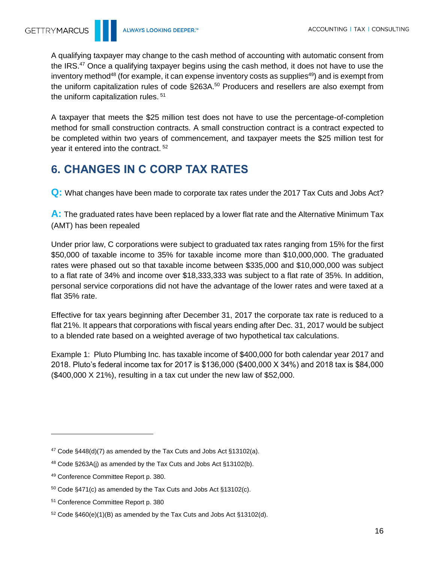A qualifying taxpayer may change to the cash method of accounting with automatic consent from the IRS.<sup>47</sup> Once a qualifying taxpayer begins using the cash method, it does not have to use the inventory method<sup>48</sup> (for example, it can expense inventory costs as supplies<sup>49</sup>) and is exempt from the uniform capitalization rules of code §263A.<sup>50</sup> Producers and resellers are also exempt from the uniform capitalization rules. <sup>51</sup>

A taxpayer that meets the \$25 million test does not have to use the percentage-of-completion method for small construction contracts. A small construction contract is a contract expected to be completed within two years of commencement, and taxpayer meets the \$25 million test for year it entered into the contract. <sup>52</sup>

# <span id="page-15-0"></span>**6. CHANGES IN C CORP TAX RATES**

**Q:** What changes have been made to corporate tax rates under the 2017 Tax Cuts and Jobs Act?

**A:** The graduated rates have been replaced by a lower flat rate and the Alternative Minimum Tax (AMT) has been repealed

Under prior law, C corporations were subject to graduated tax rates ranging from 15% for the first \$50,000 of taxable income to 35% for taxable income more than \$10,000,000. The graduated rates were phased out so that taxable income between \$335,000 and \$10,000,000 was subject to a flat rate of 34% and income over \$18,333,333 was subject to a flat rate of 35%. In addition, personal service corporations did not have the advantage of the lower rates and were taxed at a flat 35% rate.

Effective for tax years beginning after December 31, 2017 the corporate tax rate is reduced to a flat 21%. It appears that corporations with fiscal years ending after Dec. 31, 2017 would be subject to a blended rate based on a weighted average of two hypothetical tax calculations.

Example 1: Pluto Plumbing Inc. has taxable income of \$400,000 for both calendar year 2017 and 2018. Pluto's federal income tax for 2017 is \$136,000 (\$400,000 X 34%) and 2018 tax is \$84,000 (\$400,000 X 21%), resulting in a tax cut under the new law of \$52,000.

 $47 \text{ Code } \frac{6}{448(d)}$  (7) as amended by the Tax Cuts and Jobs Act  $\frac{6}{5}13102(a)$ .

<sup>48</sup> Code §263A(j) as amended by the Tax Cuts and Jobs Act §13102(b).

<sup>49</sup> Conference Committee Report p. 380.

<sup>50</sup> Code §471(c) as amended by the Tax Cuts and Jobs Act §13102(c).

<sup>51</sup> Conference Committee Report p. 380

 $52$  Code §460(e)(1)(B) as amended by the Tax Cuts and Jobs Act §13102(d).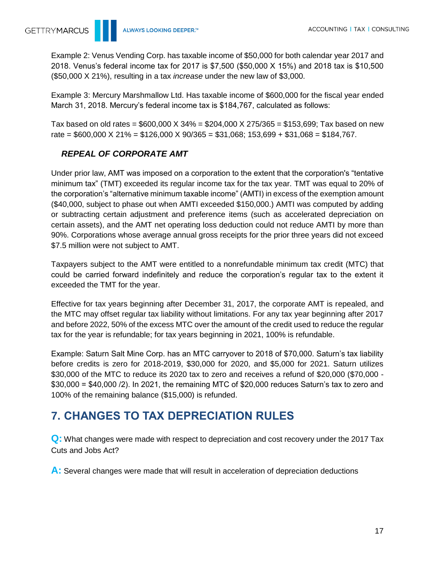Example 2: Venus Vending Corp. has taxable income of \$50,000 for both calendar year 2017 and 2018. Venus's federal income tax for 2017 is \$7,500 (\$50,000 X 15%) and 2018 tax is \$10,500 (\$50,000 X 21%), resulting in a tax *increase* under the new law of \$3,000.

Example 3: Mercury Marshmallow Ltd. Has taxable income of \$600,000 for the fiscal year ended March 31, 2018. Mercury's federal income tax is \$184,767, calculated as follows:

Tax based on old rates =  $$600,000 \times 34\% = $204,000 \times 275/365 = $153,699$ ; Tax based on new rate =  $$600,000 \times 21\% = $126,000 \times 90/365 = $31,068; 153,699 + $31,068 = $184,767$ .

# <span id="page-16-0"></span>*REPEAL OF CORPORATE AMT*

Under prior law, AMT was imposed on a corporation to the extent that the corporation's "tentative minimum tax" (TMT) exceeded its regular income tax for the tax year. TMT was equal to 20% of the corporation's "alternative minimum taxable income" (AMTI) in excess of the exemption amount (\$40,000, subject to phase out when AMTI exceeded \$150,000.) AMTI was computed by adding or subtracting certain adjustment and preference items (such as accelerated depreciation on certain assets), and the AMT net operating loss deduction could not reduce AMTI by more than 90%. Corporations whose average annual gross receipts for the prior three years did not exceed \$7.5 million were not subject to AMT.

Taxpayers subject to the AMT were entitled to a nonrefundable minimum tax credit (MTC) that could be carried forward indefinitely and reduce the corporation's regular tax to the extent it exceeded the TMT for the year.

Effective for tax years beginning after December 31, 2017, the corporate AMT is repealed, and the MTC may offset regular tax liability without limitations. For any tax year beginning after 2017 and before 2022, 50% of the excess MTC over the amount of the credit used to reduce the regular tax for the year is refundable; for tax years beginning in 2021, 100% is refundable.

Example: Saturn Salt Mine Corp. has an MTC carryover to 2018 of \$70,000. Saturn's tax liability before credits is zero for 2018-2019, \$30,000 for 2020, and \$5,000 for 2021. Saturn utilizes \$30,000 of the MTC to reduce its 2020 tax to zero and receives a refund of \$20,000 (\$70,000 - \$30,000 = \$40,000 /2). In 2021, the remaining MTC of \$20,000 reduces Saturn's tax to zero and 100% of the remaining balance (\$15,000) is refunded.

# <span id="page-16-1"></span>**7. CHANGES TO TAX DEPRECIATION RULES**

**Q:** What changes were made with respect to depreciation and cost recovery under the 2017 Tax Cuts and Jobs Act?

**A:** Several changes were made that will result in acceleration of depreciation deductions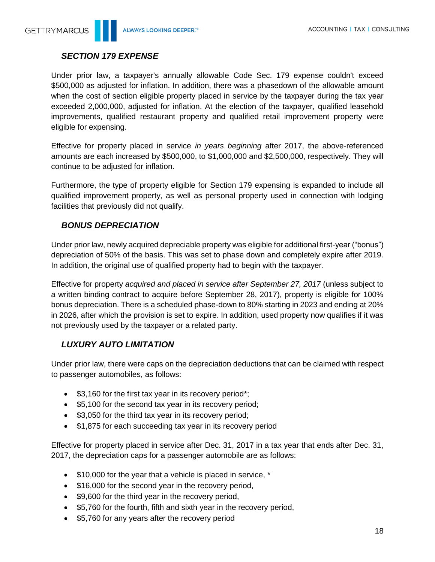

#### <span id="page-17-0"></span>*SECTION 179 EXPENSE*

Under prior law, a taxpayer's annually allowable Code Sec. 179 expense couldn't exceed \$500,000 as adjusted for inflation. In addition, there was a phasedown of the allowable amount when the cost of section eligible property placed in service by the taxpayer during the tax year exceeded 2,000,000, adjusted for inflation. At the election of the taxpayer, qualified leasehold improvements, qualified restaurant property and qualified retail improvement property were eligible for expensing.

Effective for property placed in service *in years beginning* after 2017, the above-referenced amounts are each increased by \$500,000, to \$1,000,000 and \$2,500,000, respectively. They will continue to be adjusted for inflation.

Furthermore, the type of property eligible for Section 179 expensing is expanded to include all qualified improvement property, as well as personal property used in connection with lodging facilities that previously did not qualify.

### <span id="page-17-1"></span>*BONUS DEPRECIATION*

Under prior law, newly acquired depreciable property was eligible for additional first-year ("bonus") depreciation of 50% of the basis. This was set to phase down and completely expire after 2019. In addition, the original use of qualified property had to begin with the taxpayer.

Effective for property *acquired and placed in service after September 27, 2017* (unless subject to a written binding contract to acquire before September 28, 2017), property is eligible for 100% bonus depreciation. There is a scheduled phase-down to 80% starting in 2023 and ending at 20% in 2026, after which the provision is set to expire. In addition, used property now qualifies if it was not previously used by the taxpayer or a related party.

# <span id="page-17-2"></span>*LUXURY AUTO LIMITATION*

Under prior law, there were caps on the depreciation deductions that can be claimed with respect to passenger automobiles, as follows:

- \$3,160 for the first tax year in its recovery period\*;
- \$5,100 for the second tax year in its recovery period;
- \$3,050 for the third tax year in its recovery period;
- \$1,875 for each succeeding tax year in its recovery period

Effective for property placed in service after Dec. 31, 2017 in a tax year that ends after Dec. 31, 2017, the depreciation caps for a passenger automobile are as follows:

- \$10,000 for the year that a vehicle is placed in service, \*
- \$16,000 for the second year in the recovery period,
- \$9,600 for the third year in the recovery period,
- \$5,760 for the fourth, fifth and sixth year in the recovery period,
- \$5,760 for any years after the recovery period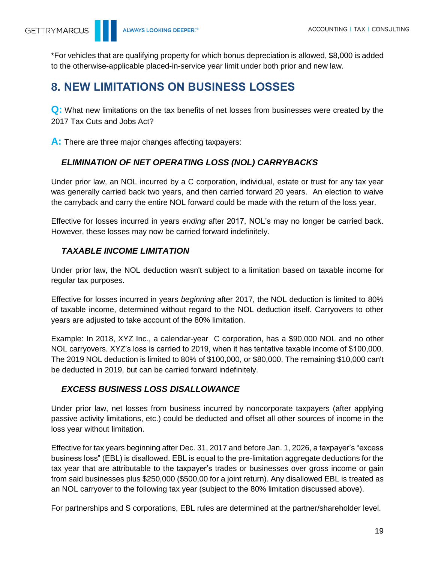\*For vehicles that are qualifying property for which bonus depreciation is allowed, \$8,000 is added to the otherwise-applicable placed-in-service year limit under both prior and new law.

# <span id="page-18-0"></span>**8. NEW LIMITATIONS ON BUSINESS LOSSES**

**Q:** What new limitations on the tax benefits of net losses from businesses were created by the 2017 Tax Cuts and Jobs Act?

**A:** There are three major changes affecting taxpayers:

# <span id="page-18-1"></span>*ELIMINATION OF NET OPERATING LOSS (NOL) CARRYBACKS*

Under prior law, an NOL incurred by a C corporation, individual, estate or trust for any tax year was generally carried back two years, and then carried forward 20 years. An election to waive the carryback and carry the entire NOL forward could be made with the return of the loss year.

Effective for losses incurred in years *ending* after 2017, NOL's may no longer be carried back. However, these losses may now be carried forward indefinitely.

# <span id="page-18-2"></span>*TAXABLE INCOME LIMITATION*

Under prior law, the NOL deduction wasn't subject to a limitation based on taxable income for regular tax purposes.

Effective for losses incurred in years *beginning* after 2017, the NOL deduction is limited to 80% of taxable income, determined without regard to the NOL deduction itself. Carryovers to other years are adjusted to take account of the 80% limitation.

Example: In 2018, XYZ Inc., a calendar-year C corporation, has a \$90,000 NOL and no other NOL carryovers. XYZ's loss is carried to 2019, when it has tentative taxable income of \$100,000. The 2019 NOL deduction is limited to 80% of \$100,000, or \$80,000. The remaining \$10,000 can't be deducted in 2019, but can be carried forward indefinitely.

# <span id="page-18-3"></span>*EXCESS BUSINESS LOSS DISALLOWANCE*

Under prior law, net losses from business incurred by noncorporate taxpayers (after applying passive activity limitations, etc.) could be deducted and offset all other sources of income in the loss year without limitation.

Effective for tax years beginning after Dec. 31, 2017 and before Jan. 1, 2026, a taxpayer's "excess business loss" (EBL) is disallowed. EBL is equal to the pre-limitation aggregate deductions for the tax year that are attributable to the taxpayer's trades or businesses over gross income or gain from said businesses plus \$250,000 (\$500,00 for a joint return). Any disallowed EBL is treated as an NOL carryover to the following tax year (subject to the 80% limitation discussed above).

For partnerships and S corporations, EBL rules are determined at the partner/shareholder level.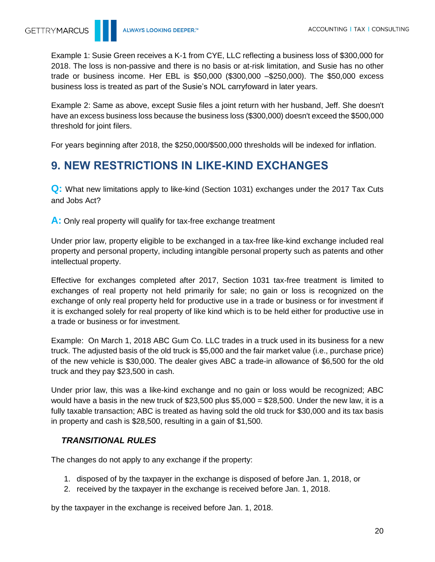Example 1: Susie Green receives a K-1 from CYE, LLC reflecting a business loss of \$300,000 for 2018. The loss is non-passive and there is no basis or at-risk limitation, and Susie has no other trade or business income. Her EBL is \$50,000 (\$300,000 –\$250,000). The \$50,000 excess business loss is treated as part of the Susie's NOL carryfoward in later years.

Example 2: Same as above, except Susie files a joint return with her husband, Jeff. She doesn't have an excess business loss because the business loss (\$300,000) doesn't exceed the \$500,000 threshold for joint filers.

For years beginning after 2018, the \$250,000/\$500,000 thresholds will be indexed for inflation.

# <span id="page-19-0"></span>**9. NEW RESTRICTIONS IN LIKE-KIND EXCHANGES**

**Q:** What new limitations apply to like-kind (Section 1031) exchanges under the 2017 Tax Cuts and Jobs Act?

**A:** Only real property will qualify for tax-free exchange treatment

Under prior law, property eligible to be exchanged in a tax-free like-kind exchange included real property and personal property, including intangible personal property such as patents and other intellectual property.

Effective for exchanges completed after 2017, Section 1031 tax-free treatment is limited to exchanges of real property not held primarily for sale; no gain or loss is recognized on the exchange of only real property held for productive use in a trade or business or for investment if it is exchanged solely for real property of like kind which is to be held either for productive use in a trade or business or for investment.

Example: On March 1, 2018 ABC Gum Co. LLC trades in a truck used in its business for a new truck. The adjusted basis of the old truck is \$5,000 and the fair market value (i.e., purchase price) of the new vehicle is \$30,000. The dealer gives ABC a trade-in allowance of \$6,500 for the old truck and they pay \$23,500 in cash.

Under prior law, this was a like-kind exchange and no gain or loss would be recognized; ABC would have a basis in the new truck of \$23,500 plus  $$5,000 = $28,500$ . Under the new law, it is a fully taxable transaction; ABC is treated as having sold the old truck for \$30,000 and its tax basis in property and cash is \$28,500, resulting in a gain of \$1,500.

### <span id="page-19-1"></span>*TRANSITIONAL RULES*

The changes do not apply to any exchange if the property:

- 1. disposed of by the taxpayer in the exchange is disposed of before Jan. 1, 2018, or
- 2. received by the taxpayer in the exchange is received before Jan. 1, 2018.

by the taxpayer in the exchange is received before Jan. 1, 2018.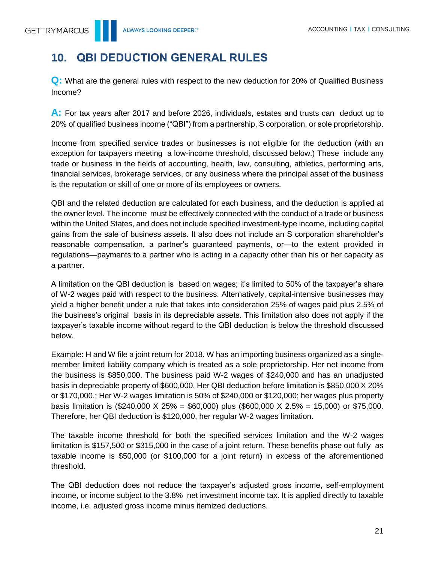# <span id="page-20-0"></span>**10. QBI DEDUCTION GENERAL RULES**

**Q:** What are the general rules with respect to the new deduction for 20% of Qualified Business Income?

**A:** For tax years after 2017 and before 2026, individuals, estates and trusts can deduct up to 20% of qualified business income ("QBI") from a partnership, S corporation, or sole proprietorship.

Income from specified service trades or businesses is not eligible for the deduction (with an exception for taxpayers meeting a low-income threshold, discussed below.) These include any trade or business in the fields of accounting, health, law, consulting, athletics, performing arts, financial services, brokerage services, or any business where the principal asset of the business is the reputation or skill of one or more of its employees or owners.

QBI and the related deduction are calculated for each business, and the deduction is applied at the owner level. The income must be effectively connected with the conduct of a trade or business within the United States, and does not include specified investment-type income, including capital gains from the sale of business assets. It also does not include an S corporation shareholder's reasonable compensation, a partner's guaranteed payments, or—to the extent provided in regulations—payments to a partner who is acting in a capacity other than his or her capacity as a partner.

A limitation on the QBI deduction is based on wages; it's limited to 50% of the taxpayer's share of W-2 wages paid with respect to the business. Alternatively, capital-intensive businesses may yield a higher benefit under a rule that takes into consideration 25% of wages paid plus 2.5% of the business's original basis in its depreciable assets. This limitation also does not apply if the taxpayer's taxable income without regard to the QBI deduction is below the threshold discussed below.

Example: H and W file a joint return for 2018. W has an importing business organized as a singlemember limited liability company which is treated as a sole proprietorship. Her net income from the business is \$850,000. The business paid W-2 wages of \$240,000 and has an unadjusted basis in depreciable property of \$600,000. Her QBI deduction before limitation is \$850,000 X 20% or \$170,000.; Her W-2 wages limitation is 50% of \$240,000 or \$120,000; her wages plus property basis limitation is (\$240,000 X 25% = \$60,000) plus (\$600,000 X 2.5% = 15,000) or \$75,000. Therefore, her QBI deduction is \$120,000, her regular W-2 wages limitation.

The taxable income threshold for both the specified services limitation and the W-2 wages limitation is \$157,500 or \$315,000 in the case of a joint return. These benefits phase out fully as taxable income is \$50,000 (or \$100,000 for a joint return) in excess of the aforementioned threshold.

The QBI deduction does not reduce the taxpayer's adjusted gross income, self-employment income, or income subject to the 3.8% net investment income tax. It is applied directly to taxable income, i.e. adjusted gross income minus itemized deductions.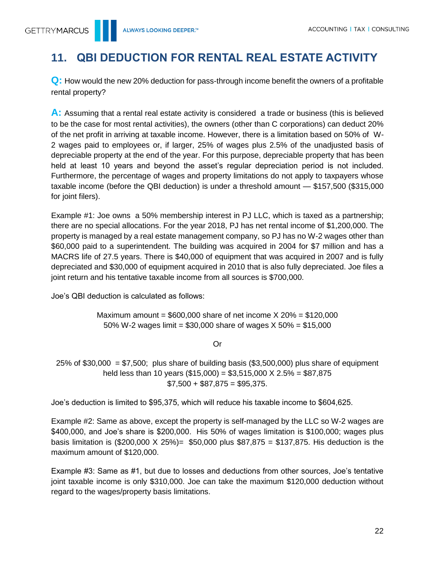# <span id="page-21-0"></span>**11. QBI DEDUCTION FOR RENTAL REAL ESTATE ACTIVITY**

**Q:** How would the new 20% deduction for pass-through income benefit the owners of a profitable rental property?

A: Assuming that a rental real estate activity is considered a trade or business (this is believed to be the case for most rental activities), the owners (other than C corporations) can deduct 20% of the net profit in arriving at taxable income. However, there is a limitation based on 50% of W-2 wages paid to employees or, if larger, 25% of wages plus 2.5% of the unadjusted basis of depreciable property at the end of the year. For this purpose, depreciable property that has been held at least 10 years and beyond the asset's regular depreciation period is not included. Furthermore, the percentage of wages and property limitations do not apply to taxpayers whose taxable income (before the QBI deduction) is under a threshold amount — \$157,500 (\$315,000 for joint filers).

Example #1: Joe owns a 50% membership interest in PJ LLC, which is taxed as a partnership; there are no special allocations. For the year 2018, PJ has net rental income of \$1,200,000. The property is managed by a real estate management company, so PJ has no W-2 wages other than \$60,000 paid to a superintendent. The building was acquired in 2004 for \$7 million and has a MACRS life of 27.5 years. There is \$40,000 of equipment that was acquired in 2007 and is fully depreciated and \$30,000 of equipment acquired in 2010 that is also fully depreciated. Joe files a joint return and his tentative taxable income from all sources is \$700,000.

Joe's QBI deduction is calculated as follows:

Maximum amount =  $$600,000$  share of net income  $X$  20% =  $$120,000$ 50% W-2 wages limit =  $$30,000$  share of wages X  $50\%$  =  $$15,000$ 

Or

25% of \$30,000 =  $$7,500$ ; plus share of building basis (\$3,500,000) plus share of equipment held less than 10 years (\$15,000) = \$3,515,000 X 2.5% = \$87,875  $$7,500 + $87,875 = $95,375.$ 

Joe's deduction is limited to \$95,375, which will reduce his taxable income to \$604,625.

Example #2: Same as above, except the property is self-managed by the LLC so W-2 wages are \$400,000, and Joe's share is \$200,000. His 50% of wages limitation is \$100,000; wages plus basis limitation is  $(\$200,000 \times 25%) = \$50,000$  plus  $\$87,875 = \$137,875$ . His deduction is the maximum amount of \$120,000.

Example #3: Same as #1, but due to losses and deductions from other sources, Joe's tentative joint taxable income is only \$310,000. Joe can take the maximum \$120,000 deduction without regard to the wages/property basis limitations.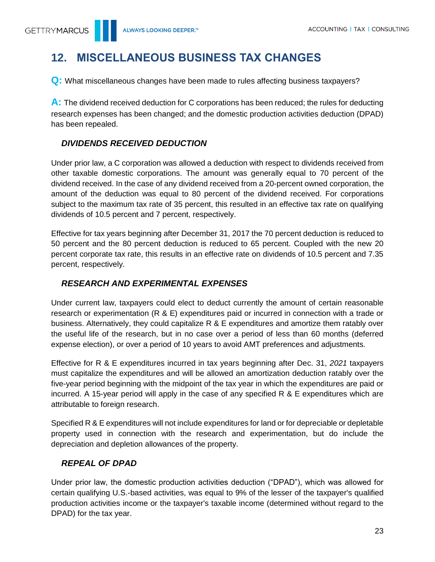# <span id="page-22-0"></span>**12. MISCELLANEOUS BUSINESS TAX CHANGES**

**Q:** What miscellaneous changes have been made to rules affecting business taxpayers?

**A:** The dividend received deduction for C corporations has been reduced; the rules for deducting research expenses has been changed; and the domestic production activities deduction (DPAD) has been repealed.

# <span id="page-22-1"></span>*DIVIDENDS RECEIVED DEDUCTION*

Under prior law, a C corporation was allowed a deduction with respect to dividends received from other taxable domestic corporations. The amount was generally equal to 70 percent of the dividend received. In the case of any dividend received from a 20-percent owned corporation, the amount of the deduction was equal to 80 percent of the dividend received. For corporations subject to the maximum tax rate of 35 percent, this resulted in an effective tax rate on qualifying dividends of 10.5 percent and 7 percent, respectively.

Effective for tax years beginning after December 31, 2017 the 70 percent deduction is reduced to 50 percent and the 80 percent deduction is reduced to 65 percent. Coupled with the new 20 percent corporate tax rate, this results in an effective rate on dividends of 10.5 percent and 7.35 percent, respectively.

# <span id="page-22-2"></span>*RESEARCH AND EXPERIMENTAL EXPENSES*

Under current law, taxpayers could elect to deduct currently the amount of certain reasonable research or experimentation (R & E) expenditures paid or incurred in connection with a trade or business. Alternatively, they could capitalize R & E expenditures and amortize them ratably over the useful life of the research, but in no case over a period of less than 60 months (deferred expense election), or over a period of 10 years to avoid AMT preferences and adjustments.

Effective for R & E expenditures incurred in tax years beginning after Dec. 31, *2021* taxpayers must capitalize the expenditures and will be allowed an amortization deduction ratably over the five-year period beginning with the midpoint of the tax year in which the expenditures are paid or incurred. A 15-year period will apply in the case of any specified R & E expenditures which are attributable to foreign research.

Specified R & E expenditures will not include expenditures for land or for depreciable or depletable property used in connection with the research and experimentation, but do include the depreciation and depletion allowances of the property.

# <span id="page-22-3"></span>*REPEAL OF DPAD*

Under prior law, the domestic production activities deduction ("DPAD"), which was allowed for certain qualifying U.S.-based activities, was equal to 9% of the lesser of the taxpayer's qualified production activities income or the taxpayer's taxable income (determined without regard to the DPAD) for the tax year.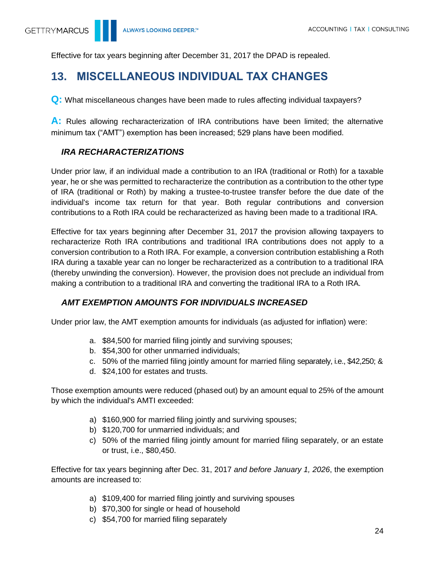Effective for tax years beginning after December 31, 2017 the DPAD is repealed.

# <span id="page-23-0"></span>**13. MISCELLANEOUS INDIVIDUAL TAX CHANGES**

**Q:** What miscellaneous changes have been made to rules affecting individual taxpayers?

**A:** Rules allowing recharacterization of IRA contributions have been limited; the alternative minimum tax ("AMT") exemption has been increased; 529 plans have been modified.

# <span id="page-23-1"></span>*IRA RECHARACTERIZATIONS*

Under prior law, if an individual made a contribution to an IRA (traditional or Roth) for a taxable year, he or she was permitted to recharacterize the contribution as a contribution to the other type of IRA (traditional or Roth) by making a trustee-to-trustee transfer before the due date of the individual's income tax return for that year. Both regular contributions and conversion contributions to a Roth IRA could be recharacterized as having been made to a traditional IRA.

Effective for tax years beginning after December 31, 2017 the provision allowing taxpayers to recharacterize Roth IRA contributions and traditional IRA contributions does not apply to a conversion contribution to a Roth IRA. For example, a conversion contribution establishing a Roth IRA during a taxable year can no longer be recharacterized as a contribution to a traditional IRA (thereby unwinding the conversion). However, the provision does not preclude an individual from making a contribution to a traditional IRA and converting the traditional IRA to a Roth IRA.

# <span id="page-23-2"></span>*AMT EXEMPTION AMOUNTS FOR INDIVIDUALS INCREASED*

Under prior law, the AMT exemption amounts for individuals (as adjusted for inflation) were:

- a. \$84,500 for married filing jointly and surviving spouses;
- b. \$54,300 for other unmarried individuals;
- c. 50% of the married filing jointly amount for married filing separately, i.e., \$42,250; &
- d. \$24,100 for estates and trusts.

Those exemption amounts were reduced (phased out) by an amount equal to 25% of the amount by which the individual's AMTI exceeded:

- a) \$160,900 for married filing jointly and surviving spouses;
- b) \$120,700 for unmarried individuals; and
- c) 50% of the married filing jointly amount for married filing separately, or an estate or trust, i.e., \$80,450.

Effective for tax years beginning after Dec. 31, 2017 *and before January 1, 2026*, the exemption amounts are increased to:

- a) \$109,400 for married filing jointly and surviving spouses
- b) \$70,300 for single or head of household
- c) \$54,700 for married filing separately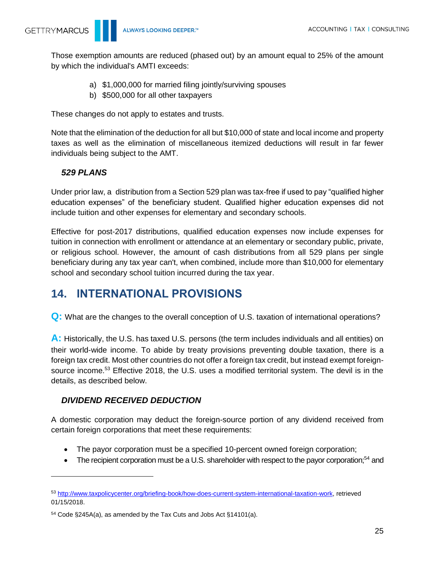Those exemption amounts are reduced (phased out) by an amount equal to 25% of the amount by which the individual's AMTI exceeds:

- a) \$1,000,000 for married filing jointly/surviving spouses
- b) \$500,000 for all other taxpayers

These changes do not apply to estates and trusts.

Note that the elimination of the deduction for all but \$10,000 of state and local income and property taxes as well as the elimination of miscellaneous itemized deductions will result in far fewer individuals being subject to the AMT.

#### <span id="page-24-0"></span>*529 PLANS*

Under prior law, a distribution from a Section 529 plan was tax-free if used to pay "qualified higher education expenses" of the beneficiary student. Qualified higher education expenses did not include tuition and other expenses for elementary and secondary schools.

Effective for post-2017 distributions, qualified education expenses now include expenses for tuition in connection with enrollment or attendance at an elementary or secondary public, private, or religious school. However, the amount of cash distributions from all 529 plans per single beneficiary during any tax year can't, when combined, include more than \$10,000 for elementary school and secondary school tuition incurred during the tax year.

# <span id="page-24-1"></span>**14. INTERNATIONAL PROVISIONS**

**Q:** What are the changes to the overall conception of U.S. taxation of international operations?

**A:** Historically, the U.S. has taxed U.S. persons (the term includes individuals and all entities) on their world-wide income. To abide by treaty provisions preventing double taxation, there is a foreign tax credit. Most other countries do not offer a foreign tax credit, but instead exempt foreignsource income.<sup>53</sup> Effective 2018, the U.S. uses a modified territorial system. The devil is in the details, as described below.

### <span id="page-24-2"></span>*DIVIDEND RECEIVED DEDUCTION*

A domestic corporation may deduct the foreign-source portion of any dividend received from certain foreign corporations that meet these requirements:

- The payor corporation must be a specified 10-percent owned foreign corporation;
- The recipient corporation must be a U.S. shareholder with respect to the payor corporation;<sup>54</sup> and

<sup>53</sup> [http://www.taxpolicycenter.org/briefing-book/how-does-current-system-international-taxation-work,](http://www.taxpolicycenter.org/briefing-book/how-does-current-system-international-taxation-work) retrieved 01/15/2018.

<sup>54</sup> Code §245A(a), as amended by the Tax Cuts and Jobs Act §14101(a).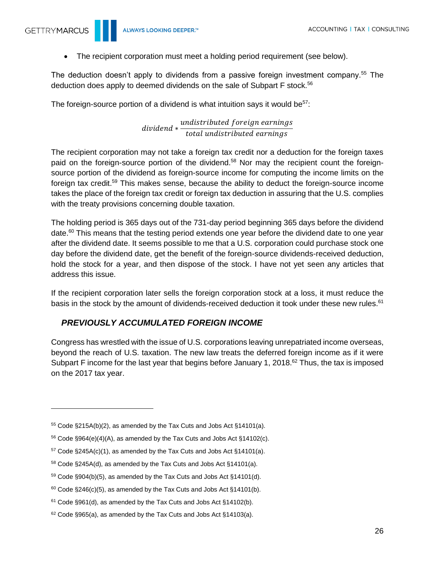$\overline{a}$ 

• The recipient corporation must meet a holding period requirement (see below).

The deduction doesn't apply to dividends from a passive foreign investment company.<sup>55</sup> The deduction does apply to deemed dividends on the sale of Subpart F stock.<sup>56</sup>

The foreign-source portion of a dividend is what intuition says it would be $57$ :

#### dividend ∗ undistributed foreign earnings total undistributed earnings

The recipient corporation may not take a foreign tax credit nor a deduction for the foreign taxes paid on the foreign-source portion of the dividend.<sup>58</sup> Nor may the recipient count the foreignsource portion of the dividend as foreign-source income for computing the income limits on the foreign tax credit.<sup>59</sup> This makes sense, because the ability to deduct the foreign-source income takes the place of the foreign tax credit or foreign tax deduction in assuring that the U.S. complies with the treaty provisions concerning double taxation.

The holding period is 365 days out of the 731-day period beginning 365 days before the dividend date. $60$  This means that the testing period extends one year before the dividend date to one year after the dividend date. It seems possible to me that a U.S. corporation could purchase stock one day before the dividend date, get the benefit of the foreign-source dividends-received deduction, hold the stock for a year, and then dispose of the stock. I have not yet seen any articles that address this issue.

If the recipient corporation later sells the foreign corporation stock at a loss, it must reduce the basis in the stock by the amount of dividends-received deduction it took under these new rules.<sup>61</sup>

### <span id="page-25-0"></span>*PREVIOUSLY ACCUMULATED FOREIGN INCOME*

Congress has wrestled with the issue of U.S. corporations leaving unrepatriated income overseas, beyond the reach of U.S. taxation. The new law treats the deferred foreign income as if it were Subpart F income for the last year that begins before January 1, 2018.<sup>62</sup> Thus, the tax is imposed on the 2017 tax year.

<sup>55</sup> Code §215A(b)(2), as amended by the Tax Cuts and Jobs Act §14101(a).

 $56$  Code §964(e)(4)(A), as amended by the Tax Cuts and Jobs Act §14102(c).

 $57$  Code §245A(c)(1), as amended by the Tax Cuts and Jobs Act §14101(a).

<sup>58</sup> Code §245A(d), as amended by the Tax Cuts and Jobs Act §14101(a).

<sup>59</sup> Code §904(b)(5), as amended by the Tax Cuts and Jobs Act §14101(d).

 $60$  Code  $\S 246(c)(5)$ , as amended by the Tax Cuts and Jobs Act  $\S 14101(b)$ .

 $61$  Code §961(d), as amended by the Tax Cuts and Jobs Act §14102(b).

<sup>62</sup> Code §965(a), as amended by the Tax Cuts and Jobs Act §14103(a).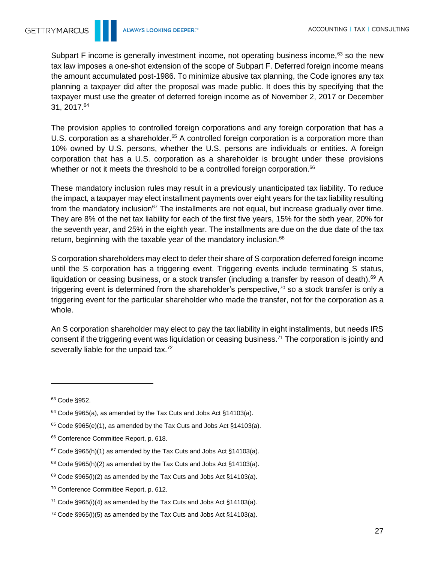Subpart F income is generally investment income, not operating business income,<sup>63</sup> so the new tax law imposes a one-shot extension of the scope of Subpart F. Deferred foreign income means the amount accumulated post-1986. To minimize abusive tax planning, the Code ignores any tax planning a taxpayer did after the proposal was made public. It does this by specifying that the taxpayer must use the greater of deferred foreign income as of November 2, 2017 or December 31, 2017.<sup>64</sup>

The provision applies to controlled foreign corporations and any foreign corporation that has a U.S. corporation as a shareholder.<sup>65</sup> A controlled foreign corporation is a corporation more than 10% owned by U.S. persons, whether the U.S. persons are individuals or entities. A foreign corporation that has a U.S. corporation as a shareholder is brought under these provisions whether or not it meets the threshold to be a controlled foreign corporation.<sup>66</sup>

These mandatory inclusion rules may result in a previously unanticipated tax liability. To reduce the impact, a taxpayer may elect installment payments over eight years for the tax liability resulting from the mandatory inclusion<sup>67</sup> The installments are not equal, but increase gradually over time. They are 8% of the net tax liability for each of the first five years, 15% for the sixth year, 20% for the seventh year, and 25% in the eighth year. The installments are due on the due date of the tax return, beginning with the taxable year of the mandatory inclusion.<sup>68</sup>

S corporation shareholders may elect to defer their share of S corporation deferred foreign income until the S corporation has a triggering event. Triggering events include terminating S status, liquidation or ceasing business, or a stock transfer (including a transfer by reason of death).<sup>69</sup> A triggering event is determined from the shareholder's perspective.<sup>70</sup> so a stock transfer is only a triggering event for the particular shareholder who made the transfer, not for the corporation as a whole.

An S corporation shareholder may elect to pay the tax liability in eight installments, but needs IRS consent if the triggering event was liquidation or ceasing business.<sup>71</sup> The corporation is jointly and severally liable for the unpaid tax.<sup>72</sup>

<sup>63</sup> Code §952.

<sup>64</sup> Code §965(a), as amended by the Tax Cuts and Jobs Act §14103(a).

<sup>65</sup> Code §965(e)(1), as amended by the Tax Cuts and Jobs Act §14103(a).

<sup>66</sup> Conference Committee Report, p. 618.

 $67$  Code §965(h)(1) as amended by the Tax Cuts and Jobs Act §14103(a).

<sup>68</sup> Code §965(h)(2) as amended by the Tax Cuts and Jobs Act §14103(a).

 $69$  Code §965(i)(2) as amended by the Tax Cuts and Jobs Act §14103(a).

<sup>70</sup> Conference Committee Report, p. 612.

 $71$  Code §965(i)(4) as amended by the Tax Cuts and Jobs Act §14103(a).

 $72 \text{ Code } \S 965(i)(5)$  as amended by the Tax Cuts and Jobs Act  $\S 14103(a)$ .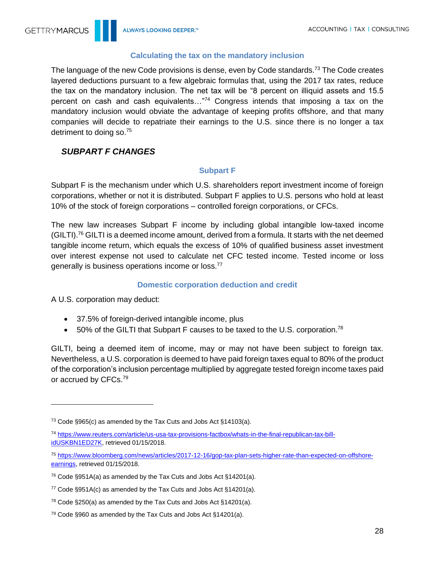#### **Calculating the tax on the mandatory inclusion**

<span id="page-27-0"></span>The language of the new Code provisions is dense, even by Code standards.<sup>73</sup> The Code creates layered deductions pursuant to a few algebraic formulas that, using the 2017 tax rates, reduce the tax on the mandatory inclusion. The net tax will be "8 percent on illiquid assets and 15.5 percent on cash and cash equivalents…"<sup>74</sup> Congress intends that imposing a tax on the mandatory inclusion would obviate the advantage of keeping profits offshore, and that many companies will decide to repatriate their earnings to the U.S. since there is no longer a tax detriment to doing so.<sup>75</sup>

# <span id="page-27-1"></span>*SUBPART F CHANGES*

#### **Subpart F**

<span id="page-27-2"></span>Subpart F is the mechanism under which U.S. shareholders report investment income of foreign corporations, whether or not it is distributed. Subpart F applies to U.S. persons who hold at least 10% of the stock of foreign corporations – controlled foreign corporations, or CFCs.

The new law increases Subpart F income by including global intangible low-taxed income  $(GILT)$ .<sup>76</sup> GILTI is a deemed income amount, derived from a formula. It starts with the net deemed tangible income return, which equals the excess of 10% of qualified business asset investment over interest expense not used to calculate net CFC tested income. Tested income or loss generally is business operations income or loss.<sup>77</sup>

#### **Domestic corporation deduction and credit**

<span id="page-27-3"></span>A U.S. corporation may deduct:

- 37.5% of foreign-derived intangible income, plus
- 50% of the GILTI that Subpart F causes to be taxed to the U.S. corporation.<sup>78</sup>

GILTI, being a deemed item of income, may or may not have been subject to foreign tax. Nevertheless, a U.S. corporation is deemed to have paid foreign taxes equal to 80% of the product of the corporation's inclusion percentage multiplied by aggregate tested foreign income taxes paid or accrued by CFCs.<sup>79</sup>

<sup>73</sup> Code §965(c) as amended by the Tax Cuts and Jobs Act §14103(a).

<sup>74</sup> [https://www.reuters.com/article/us-usa-tax-provisions-factbox/whats-in-the-final-republican-tax-bill](https://www.reuters.com/article/us-usa-tax-provisions-factbox/whats-in-the-final-republican-tax-bill-idUSKBN1ED27K)[idUSKBN1ED27K,](https://www.reuters.com/article/us-usa-tax-provisions-factbox/whats-in-the-final-republican-tax-bill-idUSKBN1ED27K) retrieved 01/15/2018.

<sup>75</sup> [https://www.bloomberg.com/news/articles/2017-12-16/gop-tax-plan-sets-higher-rate-than-expected-on-offshore](https://www.bloomberg.com/news/articles/2017-12-16/gop-tax-plan-sets-higher-rate-than-expected-on-offshore-earnings)[earnings,](https://www.bloomberg.com/news/articles/2017-12-16/gop-tax-plan-sets-higher-rate-than-expected-on-offshore-earnings) retrieved 01/15/2018.

<sup>76</sup> Code §951A(a) as amended by the Tax Cuts and Jobs Act §14201(a).

<sup>77</sup> Code §951A(c) as amended by the Tax Cuts and Jobs Act §14201(a).

 $78$  Code §250(a) as amended by the Tax Cuts and Jobs Act §14201(a).

<sup>79</sup> Code §960 as amended by the Tax Cuts and Jobs Act §14201(a).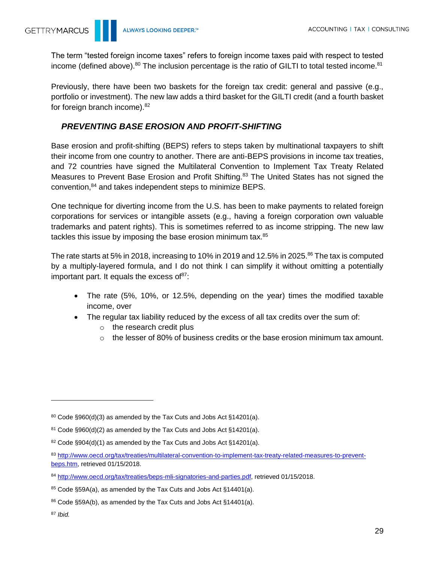The term "tested foreign income taxes" refers to foreign income taxes paid with respect to tested income (defined above). $80$  The inclusion percentage is the ratio of GILTI to total tested income. $81$ 

Previously, there have been two baskets for the foreign tax credit: general and passive (e.g., portfolio or investment). The new law adds a third basket for the GILTI credit (and a fourth basket for foreign branch income).<sup>82</sup>

### <span id="page-28-0"></span>*PREVENTING BASE EROSION AND PROFIT-SHIFTING*

Base erosion and profit-shifting (BEPS) refers to steps taken by multinational taxpayers to shift their income from one country to another. There are anti-BEPS provisions in income tax treaties, and 72 countries have signed the Multilateral Convention to Implement Tax Treaty Related Measures to Prevent Base Erosion and Profit Shifting.<sup>83</sup> The United States has not signed the convention,<sup>84</sup> and takes independent steps to minimize BEPS.

One technique for diverting income from the U.S. has been to make payments to related foreign corporations for services or intangible assets (e.g., having a foreign corporation own valuable trademarks and patent rights). This is sometimes referred to as income stripping. The new law tackles this issue by imposing the base erosion minimum tax.<sup>85</sup>

The rate starts at 5% in 2018, increasing to 10% in 2019 and 12.5% in 2025.<sup>86</sup> The tax is computed by a multiply-layered formula, and I do not think I can simplify it without omitting a potentially important part. It equals the excess of  $87$ :

- The rate (5%, 10%, or 12.5%, depending on the year) times the modified taxable income, over
- The regular tax liability reduced by the excess of all tax credits over the sum of:
	- o the research credit plus
	- $\circ$  the lesser of 80% of business credits or the base erosion minimum tax amount.

 $80$  Code §960(d)(3) as amended by the Tax Cuts and Jobs Act §14201(a).

 $81$  Code §960(d)(2) as amended by the Tax Cuts and Jobs Act §14201(a).

 $82$  Code §904(d)(1) as amended by the Tax Cuts and Jobs Act §14201(a).

<sup>83</sup> [http://www.oecd.org/tax/treaties/multilateral-convention-to-implement-tax-treaty-related-measures-to-prevent](http://www.oecd.org/tax/treaties/multilateral-convention-to-implement-tax-treaty-related-measures-to-prevent-beps.htm)[beps.htm,](http://www.oecd.org/tax/treaties/multilateral-convention-to-implement-tax-treaty-related-measures-to-prevent-beps.htm) retrieved 01/15/2018.

<sup>84</sup> [http://www.oecd.org/tax/treaties/beps-mli-signatories-and-parties.pdf,](http://www.oecd.org/tax/treaties/beps-mli-signatories-and-parties.pdf) retrieved 01/15/2018.

<sup>85</sup> Code §59A(a), as amended by the Tax Cuts and Jobs Act §14401(a).

<sup>86</sup> Code §59A(b), as amended by the Tax Cuts and Jobs Act §14401(a).

<sup>87</sup> *Ibid.*